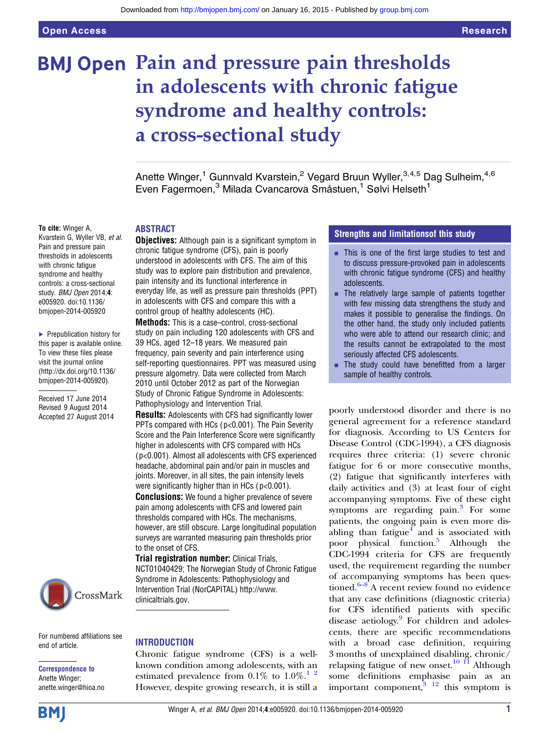# **BMJ Open Pain and pressure pain thresholds** in adolescents with chronic fatigue syndrome and healthy controls: a cross-sectional study

Anette Winger,<sup>1</sup> Gunnvald Kvarstein,<sup>2</sup> Vegard Bruun Wyller,<sup>3,4,5</sup> Dag Sulheim,<sup>4,6</sup> Even Fagermoen,<sup>3</sup> Milada Cvancarova Småstuen,<sup>1</sup> Sølvi Helseth<sup>1</sup>

#### To cite: Winger A,

Kvarstein G, Wyller VB, et al. Pain and pressure pain thresholds in adolescents with chronic fatigue syndrome and healthy controls: a cross-sectional study. BMJ Open 2014;4: e005920. doi:10.1136/ bmjopen-2014-005920

▶ Prepublication history for this paper is available online. To view these files please visit the journal online [\(http://dx.doi.org/10.1136/](http://dx.doi.org/10.1136/bmjopen-2014-005920) [bmjopen-2014-005920](http://dx.doi.org/10.1136/bmjopen-2014-005920)).

Received 17 June 2014 Revised 9 August 2014 Accepted 27 August 2014



For numbered affiliations see end of article.

Correspondence to Anette Winger; anette.winger@hioa.no ABSTRACT

**Objectives:** Although pain is a significant symptom in chronic fatigue syndrome (CFS), pain is poorly understood in adolescents with CFS. The aim of this study was to explore pain distribution and prevalence, pain intensity and its functional interference in everyday life, as well as pressure pain thresholds (PPT) in adolescents with CFS and compare this with a control group of healthy adolescents (HC).

Methods: This is a case–control, cross-sectional study on pain including 120 adolescents with CFS and 39 HCs, aged 12–18 years. We measured pain frequency, pain severity and pain interference using self-reporting questionnaires. PPT was measured using pressure algometry. Data were collected from March 2010 until October 2012 as part of the Norwegian Study of Chronic Fatigue Syndrome in Adolescents: Pathophysiology and Intervention Trial.

Results: Adolescents with CFS had significantly lower PPTs compared with HCs (p<0.001). The Pain Severity Score and the Pain Interference Score were significantly higher in adolescents with CFS compared with HCs ( p<0.001). Almost all adolescents with CFS experienced headache, abdominal pain and/or pain in muscles and joints. Moreover, in all sites, the pain intensity levels were significantly higher than in HCs ( p<0.001). **Conclusions:** We found a higher prevalence of severe pain among adolescents with CFS and lowered pain thresholds compared with HCs. The mechanisms, however, are still obscure. Large longitudinal population surveys are warranted measuring pain thresholds prior to the onset of CFS.

Trial registration number: Clinical Trials, NCT01040429; The Norwegian Study of Chronic Fatigue Syndrome in Adolescents: Pathophysiology and Intervention Trial (NorCAPITAL) [http://www.](http://www.clinicaltrials.gov) [clinicaltrials.gov](http://www.clinicaltrials.gov).

#### **INTRODUCTION**

Chronic fatigue syndrome (CFS) is a wellknown condition among adolescents, with an estimated prevalence from  $0.1\%$  to  $1.0\%$ .<sup>1</sup><sup>2</sup> However, despite growing research, it is still a

#### Strengths and limitationsof this study

- $\blacksquare$  This is one of the first large studies to test and to discuss pressure-provoked pain in adolescents with chronic fatigue syndrome (CFS) and healthy adolescents.
- $\blacksquare$  The relatively large sample of patients together with few missing data strengthens the study and makes it possible to generalise the findings. On the other hand, the study only included patients who were able to attend our research clinic; and the results cannot be extrapolated to the most seriously affected CFS adolescents.
- **The study could have benefitted from a larger** sample of healthy controls.

poorly understood disorder and there is no general agreement for a reference standard for diagnosis. According to US Centers for Disease Control (CDC-1994), a CFS diagnosis requires three criteria: (1) severe chronic fatigue for 6 or more consecutive months, (2) fatigue that significantly interferes with daily activities and (3) at least four of eight accompanying symptoms. Five of these eight symptoms are regarding pain. $3$  For some patients, the ongoing pain is even more disabling than fatigue $<sup>4</sup>$  $<sup>4</sup>$  $<sup>4</sup>$  and is associated with</sup> poor physical function.[5](#page-6-0) Although the CDC-1994 criteria for CFS are frequently used, the requirement regarding the number of acc[omp](#page-6-0)anying symptoms has been questioned. $6-8$  A recent review found no evidence that any case definitions (diagnostic criteria) for CFS identified patients with specific disease aetiology.<sup>9</sup> For children and adolescents, there are specific recommendations with a broad case definition, requiring 3 months of unexplained disabling, chronic/ relapsing fatigue of new onset.<sup>[10 11](#page-6-0)</sup> Although some definitions emphasise pain as an important component, $3 \tbinom{12}{3}$  this symptom is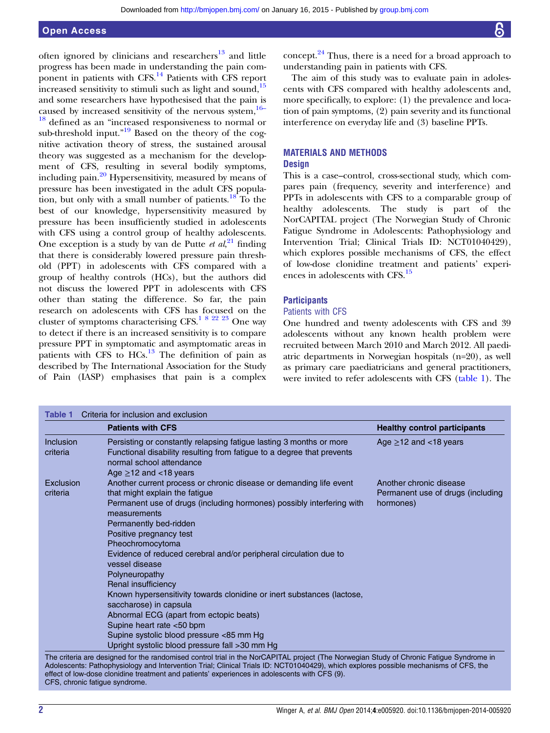# <span id="page-1-0"></span>Open Access

often ignored by clinicians and researchers $^{13}$  $^{13}$  $^{13}$  and little progress has been made in understanding the pain com-ponent in patients with CFS.<sup>[14](#page-6-0)</sup> Patients with CFS report increased sensitivity to stimuli such as light and sound, $15$ and some researchers have hypothesised that the pain is caused by increased sensitivity of the nervous system,  $16-$ [18](#page-6-0) defined as an "increased responsiveness to normal or sub-threshold input."<sup>[19](#page-6-0)</sup> Based on the theory of the cognitive activation theory of stress, the sustained arousal theory was suggested as a mechanism for the development of CFS, resulting in several bodily symptoms, including pain. $^{20}$  $^{20}$  $^{20}$  Hypersensitivity, measured by means of pressure has been investigated in the adult CFS popula-tion, but only with a small number of patients.<sup>[18](#page-6-0)</sup> To the best of our knowledge, hypersensitivity measured by pressure has been insufficiently studied in adolescents with CFS using a control group of healthy adolescents. One exception is a study by van de Putte et  $al$ ,<sup>[21](#page-6-0)</sup> finding that there is considerably lowered pressure pain threshold (PPT) in adolescents with CFS compared with a group of healthy controls (HCs), but the authors did not discuss the lowered PPT in adolescents with CFS other than stating the difference. So far, the pain research on adolescents with CFS has focused on the cluster of symptoms characterising CFS.<sup>[1 8 22 23](#page-6-0)</sup> One way to detect if there is an increased sensitivity is to compare pressure PPT in symptomatic and asymptomatic areas in patients with CFS to  $HCs$ <sup>[13](#page-6-0)</sup>. The definition of pain as described by The International Association for the Study of Pain (IASP) emphasises that pain is a complex concept. $24$  Thus, there is a need for a broad approach to understanding pain in patients with CFS.

The aim of this study was to evaluate pain in adolescents with CFS compared with healthy adolescents and, more specifically, to explore: (1) the prevalence and location of pain symptoms, (2) pain severity and its functional interference on everyday life and (3) baseline PPTs.

# MATERIALS AND METHODS

# **Design**

This is a case–control, cross-sectional study, which compares pain ( frequency, severity and interference) and PPTs in adolescents with CFS to a comparable group of healthy adolescents. The study is part of the NorCAPITAL project (The Norwegian Study of Chronic Fatigue Syndrome in Adolescents: Pathophysiology and Intervention Trial; Clinical Trials ID: NCT01040429), which explores possible mechanisms of CFS, the effect of low-dose clonidine treatment and patients' experiences in adolescents with CFS.[15](#page-6-0)

# **Participants**

# Patients with CFS

One hundred and twenty adolescents with CFS and 39 adolescents without any known health problem were recruited between March 2010 and March 2012. All paediatric departments in Norwegian hospitals (n=20), as well as primary care paediatricians and general practitioners, were invited to refer adolescents with CFS (table 1). The

|                              | <b>Patients with CFS</b>                                                                                                                                                                                                                                                                                                                                                                                                                                                                                                                                                                                                                                                         | <b>Healthy control participants</b>                                       |
|------------------------------|----------------------------------------------------------------------------------------------------------------------------------------------------------------------------------------------------------------------------------------------------------------------------------------------------------------------------------------------------------------------------------------------------------------------------------------------------------------------------------------------------------------------------------------------------------------------------------------------------------------------------------------------------------------------------------|---------------------------------------------------------------------------|
| <b>Inclusion</b><br>criteria | Persisting or constantly relapsing fatigue lasting 3 months or more<br>Functional disability resulting from fatigue to a degree that prevents<br>normal school attendance<br>Age $\geq$ 12 and <18 years                                                                                                                                                                                                                                                                                                                                                                                                                                                                         | Age $\geq$ 12 and <18 years                                               |
| Exclusion<br>criteria        | Another current process or chronic disease or demanding life event<br>that might explain the fatigue<br>Permanent use of drugs (including hormones) possibly interfering with<br>measurements<br>Permanently bed-ridden<br>Positive pregnancy test<br>Pheochromocytoma<br>Evidence of reduced cerebral and/or peripheral circulation due to<br>vessel disease<br>Polyneuropathy<br>Renal insufficiency<br>Known hypersensitivity towards clonidine or inert substances (lactose,<br>saccharose) in capsula<br>Abnormal ECG (apart from ectopic beats)<br>Supine heart rate <50 bpm<br>Supine systolic blood pressure <85 mm Hg<br>Upright systolic blood pressure fall >30 mm Hg | Another chronic disease<br>Permanent use of drugs (including<br>hormones) |

ents: Pathophysiology and Intervention Trial; Clinical Trials ID: NCT0104042 effect of low-dose clonidine treatment and patients' experiences in adolescents with CFS (9). CFS, chronic fatigue syndrome.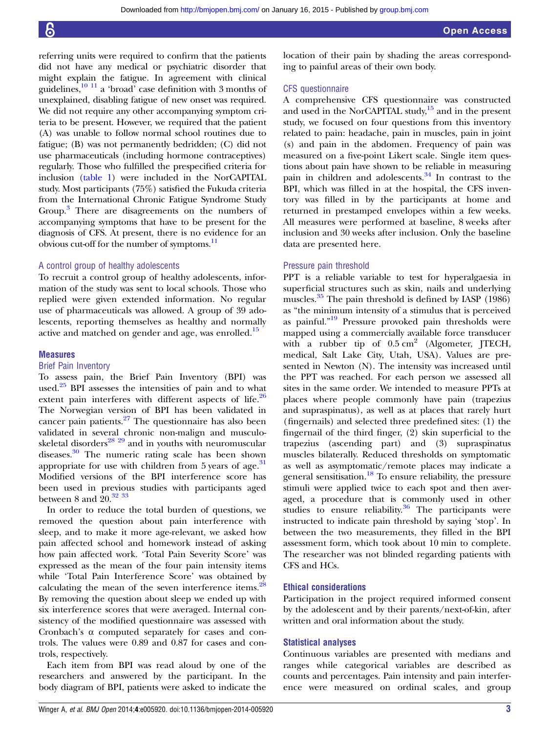referring units were required to confirm that the patients did not have any medical or psychiatric disorder that might explain the fatigue. In agreement with clinical guidelines, $\frac{10 \text{ } 11}{2}$  a 'broad' case definition with 3 months of unexplained, disabling fatigue of new onset was required. We did not require any other accompanying symptom criteria to be present. However, we required that the patient (A) was unable to follow normal school routines due to fatigue; (B) was not permanently bedridden; (C) did not use pharmaceuticals (including hormone contraceptives) regularly. Those who fulfilled the prespecified criteria for inclusion [\(table 1](#page-1-0)) were included in the NorCAPITAL study. Most participants (75%) satisfied the Fukuda criteria from the International Chronic Fatigue Syndrome Study Group.<sup>[3](#page-6-0)</sup> There are disagreements on the numbers of accompanying symptoms that have to be present for the diagnosis of CFS. At present, there is no evidence for an obvious cut-off for the number of symptoms.<sup>11</sup>

#### A control group of healthy adolescents

To recruit a control group of healthy adolescents, information of the study was sent to local schools. Those who replied were given extended information. No regular use of pharmaceuticals was allowed. A group of 39 adolescents, reporting themselves as healthy and normally active and matched on gender and age, was enrolled.<sup>[15](#page-6-0)</sup>

#### **Measures**

#### Brief Pain Inventory

To assess pain, the Brief Pain Inventory (BPI) was used.<sup>[25](#page-6-0)</sup> BPI assesses the intensities of pain and to what extent pain interferes with different aspects of life. $26$ The Norwegian version of BPI has been validated in cancer pain patients. $27$  The questionnaire has also been validated in several chronic non-malign and musculoskeletal disorders<sup>28</sup> <sup>29</sup> and in youths with neuromuscular diseases.[30](#page-7-0) The numeric rating scale has been shown appropriate for use with children from  $5$  years of age.<sup>[31](#page-7-0)</sup> Modified versions of the BPI interference score has been used in previous studies with participants aged between 8 and  $20^{32}$  33

In order to reduce the total burden of questions, we removed the question about pain interference with sleep, and to make it more age-relevant, we asked how pain affected school and homework instead of asking how pain affected work. 'Total Pain Severity Score' was expressed as the mean of the four pain intensity items while 'Total Pain Interference Score' was obtained by calculating the mean of the seven interference items.<sup>[28](#page-7-0)</sup> By removing the question about sleep we ended up with six interference scores that were averaged. Internal consistency of the modified questionnaire was assessed with Cronbach's α computed separately for cases and controls. The values were 0.89 and 0.87 for cases and controls, respectively.

Each item from BPI was read aloud by one of the researchers and answered by the participant. In the body diagram of BPI, patients were asked to indicate the

location of their pain by shading the areas corresponding to painful areas of their own body.

# CFS questionnaire

A comprehensive CFS questionnaire was constructed and used in the NorCAPITAL study, $15$  and in the present study, we focused on four questions from this inventory related to pain: headache, pain in muscles, pain in joint (s) and pain in the abdomen. Frequency of pain was measured on a five-point Likert scale. Single item questions about pain have shown to be reliable in measuring pain in children and adolescents.<sup>[34](#page-7-0)</sup> In contrast to the BPI, which was filled in at the hospital, the CFS inventory was filled in by the participants at home and returned in prestamped envelopes within a few weeks. All measures were performed at baseline, 8 weeks after inclusion and 30 weeks after inclusion. Only the baseline data are presented here.

#### Pressure pain threshold

PPT is a reliable variable to test for hyperalgaesia in superficial structures such as skin, nails and underlying muscles.<sup>[35](#page-7-0)</sup> The pain threshold is defined by IASP (1986) as "the minimum intensity of a stimulus that is perceived as painful."<sup>[19](#page-6-0)</sup> Pressure provoked pain thresholds were mapped using a commercially available force transducer with a rubber tip of  $0.5 \text{ cm}^2$  (Algometer, JTECH, medical, Salt Lake City, Utah, USA). Values are presented in Newton (N). The intensity was increased until the PPT was reached. For each person we assessed all sites in the same order. We intended to measure PPTs at places where people commonly have pain (trapezius and supraspinatus), as well as at places that rarely hurt (fingernails) and selected three predefined sites: (1) the fingernail of the third finger, (2) skin superficial to the trapezius (ascending part) and (3) supraspinatus muscles bilaterally. Reduced thresholds on symptomatic as well as asymptomatic/remote places may indicate a general sensitisation.[18](#page-6-0) To ensure reliability, the pressure stimuli were applied twice to each spot and then averaged, a procedure that is commonly used in other studies to ensure reliability. $36$  The participants were instructed to indicate pain threshold by saying 'stop'. In between the two measurements, they filled in the BPI assessment form, which took about 10 min to complete. The researcher was not blinded regarding patients with CFS and HCs.

# Ethical considerations

Participation in the project required informed consent by the adolescent and by their parents/next-of-kin, after written and oral information about the study.

#### Statistical analyses

Continuous variables are presented with medians and ranges while categorical variables are described as counts and percentages. Pain intensity and pain interference were measured on ordinal scales, and group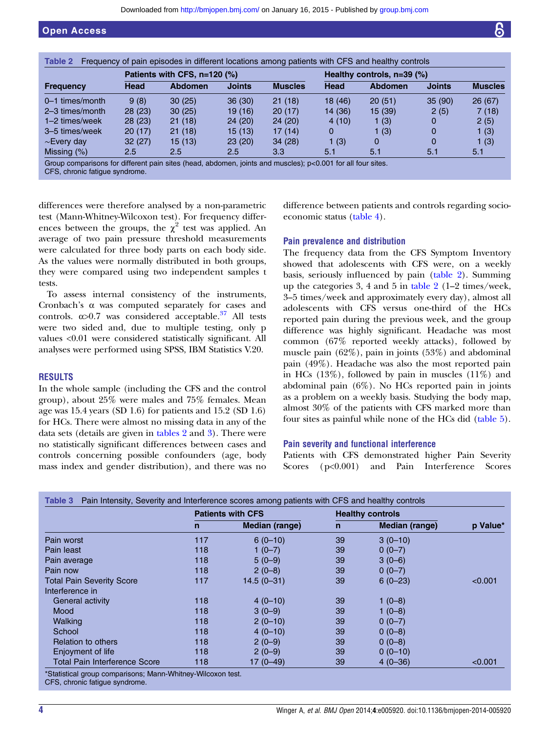<span id="page-3-0"></span>

|                   | Patients with CFS, n=120 (%) |                |               |                | Healthy controls, $n=39$ (%) |                |               |                |
|-------------------|------------------------------|----------------|---------------|----------------|------------------------------|----------------|---------------|----------------|
| <b>Frequency</b>  | <b>Head</b>                  | <b>Abdomen</b> | <b>Joints</b> | <b>Muscles</b> | <b>Head</b>                  | <b>Abdomen</b> | <b>Joints</b> | <b>Muscles</b> |
| $0-1$ times/month | 9(8)                         | 30(25)         | 36(30)        | 21(18)         | 18 (46)                      | 20(51)         | 35(90)        | 26(67)         |
| 2-3 times/month   | 28(23)                       | 30(25)         | 19(16)        | 20(17)         | 14 (36)                      | 15(39)         | 2(5)          | 7(18)          |
| $1-2$ times/week  | 28(23)                       | 21(18)         | 24(20)        | 24(20)         | 4(10)                        | 1(3)           | 0             | 2(5)           |
| 3–5 times/week    | 20(17)                       | 21(18)         | 15(13)        | 17(14)         | 0                            | 1 $(3)$        | 0             | 1(3)           |
| $\sim$ Every day  | 32(27)                       | 15 (13)        | 23(20)        | 34(28)         | 1(3)                         | 0              | 0             | 1(3)           |
| Missing (%)       | 2.5                          | 2.5            | 2.5           | 3.3            | 5.1                          | 5.1            | 5.1           | 5.1            |

roup comparisons for different pain sites (head, abdomen, joints and muscles)

CFS, chronic fatigue syndrome.

differences were therefore analysed by a non-parametric test (Mann-Whitney-Wilcoxon test). For frequency differences between the groups, the  $\chi^2$  test was applied. An average of two pain pressure threshold measurements were calculated for three body parts on each body side. As the values were normally distributed in both groups, they were compared using two independent samples t tests.

To assess internal consistency of the instruments, Cronbach's α was computed separately for cases and controls.  $\alpha$ >0.7 was considered acceptable.<sup>[37](#page-7-0)</sup> All tests were two sided and, due to multiple testing, only p values <0.01 were considered statistically significant. All analyses were performed using SPSS, IBM Statistics V.20.

### RESULTS

In the whole sample (including the CFS and the control group), about 25% were males and 75% females. Mean age was 15.4 years (SD 1.6) for patients and 15.2 (SD 1.6) for HCs. There were almost no missing data in any of the data sets (details are given in tables 2 and 3). There were no statistically significant differences between cases and controls concerning possible confounders (age, body mass index and gender distribution), and there was no

difference between patients and controls regarding socioeconomic status [\(table 4\)](#page-4-0).

# Pain prevalence and distribution

The frequency data from the CFS Symptom Inventory showed that adolescents with CFS were, on a weekly basis, seriously influenced by pain (table 2). Summing up the categories 3, 4 and 5 in table  $2(1-2 \times 1)$ 3–5 times/week and approximately every day), almost all adolescents with CFS versus one-third of the HCs reported pain during the previous week, and the group difference was highly significant. Headache was most common (67% reported weekly attacks), followed by muscle pain (62%), pain in joints (53%) and abdominal pain (49%). Headache was also the most reported pain in HCs  $(13\%)$ , followed by pain in muscles  $(11\%)$  and abdominal pain (6%). No HCs reported pain in joints as a problem on a weekly basis. Studying the body map, almost 30% of the patients with CFS marked more than four sites as painful while none of the HCs did [\(table 5](#page-4-0)).

#### Pain severity and functional interference

Patients with CFS demonstrated higher Pain Severity Scores (p<0.001) and Pain Interference Scores

|                                  | <b>Patients with CFS</b> |                | <b>Healthy controls</b> |                       |          |
|----------------------------------|--------------------------|----------------|-------------------------|-----------------------|----------|
|                                  | n                        | Median (range) | n                       | <b>Median (range)</b> | p Value* |
| Pain worst                       | 117                      | $6(0-10)$      | 39                      | $3(0-10)$             |          |
| Pain least                       | 118                      | $1(0-7)$       | 39                      | $0(0-7)$              |          |
| Pain average                     | 118                      | $5(0-9)$       | 39                      | $3(0-6)$              |          |
| Pain now                         | 118                      | $2(0-8)$       | 39                      | $0(0-7)$              |          |
| <b>Total Pain Severity Score</b> | 117                      | $14.5(0 - 31)$ | 39                      | $6(0-23)$             | < 0.001  |
| Interference in                  |                          |                |                         |                       |          |
| <b>General activity</b>          | 118                      | $4(0-10)$      | 39                      | $1(0-8)$              |          |
| Mood                             | 118                      | $3(0-9)$       | 39                      | $1(0-8)$              |          |
| Walking                          | 118                      | $2(0-10)$      | 39                      | $0(0-7)$              |          |
| School                           | 118                      | $4(0-10)$      | 39                      | $0(0-8)$              |          |
| Relation to others               | 118                      | $2(0-9)$       | 39                      | $0(0-8)$              |          |
| Enjoyment of life                | 118                      | $2(0-9)$       | 39                      | $0(0-10)$             |          |
| Total Pain Interference Score    | 118                      | $17(0 - 49)$   | 39                      | $4(0-36)$             | < 0.001  |

CFS, chronic fatigue syndrome.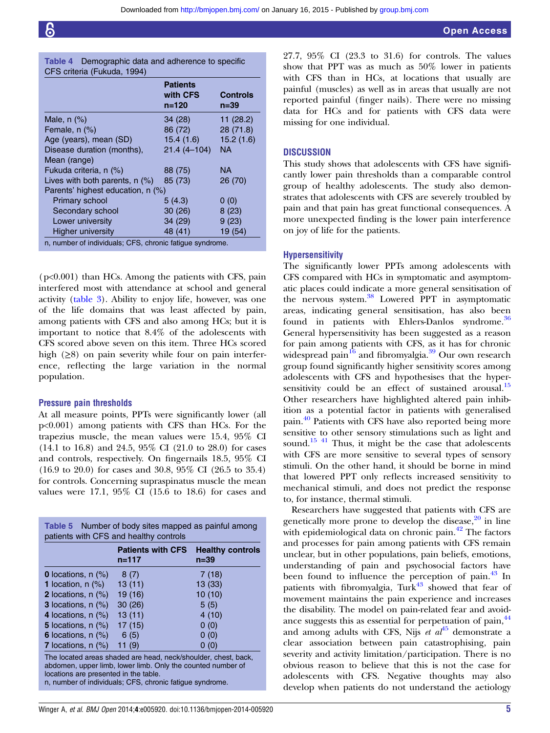<span id="page-4-0"></span>

| <b>Table 4</b> Demographic data and adherence to specific |  |  |
|-----------------------------------------------------------|--|--|
| CFS criteria (Fukuda, 1994)                               |  |  |

|                                                          | <b>Patients</b><br>with CFS<br>$n = 120$ | <b>Controls</b><br>n=39 |
|----------------------------------------------------------|------------------------------------------|-------------------------|
| Male, $n$ $%$                                            | 34 (28)                                  | 11(28.2)                |
| Female, $n$ $(\%)$                                       | 86 (72)                                  | 28(71.8)                |
| Age (years), mean (SD)                                   | 15.4(1.6)                                | 15.2(1.6)               |
| Disease duration (months),                               | $21.4(4 - 104)$                          | ΝA                      |
| Mean (range)                                             |                                          |                         |
| Fukuda criteria, n (%)                                   | 88 (75)                                  | ΝA                      |
| Lives with both parents, n (%)                           | 85 (73)                                  | 26 (70)                 |
| Parents' highest education, n (%)                        |                                          |                         |
| <b>Primary school</b>                                    | 5(4.3)                                   | 0(0)                    |
| Secondary school                                         | 30(26)                                   | 8(23)                   |
| Lower university                                         | 34 (29)                                  | 9(23)                   |
| <b>Higher university</b>                                 | 48 (41)                                  | 19 (54)                 |
| n, number of individuals; CFS, chronic fatique syndrome. |                                          |                         |

(p<0.001) than HCs. Among the patients with CFS, pain interfered most with attendance at school and general activity [\(table 3\)](#page-3-0). Ability to enjoy life, however, was one of the life domains that was least affected by pain, among patients with CFS and also among HCs; but it is important to notice that 8.4% of the adolescents with CFS scored above seven on this item. Three HCs scored high  $(\geq 8)$  on pain severity while four on pain interference, reflecting the large variation in the normal population.

#### Pressure pain thresholds

At all measure points, PPTs were significantly lower (all p<0.001) among patients with CFS than HCs. For the trapezius muscle, the mean values were 15.4, 95% CI (14.1 to 16.8) and 24.5, 95% CI (21.0 to 28.0) for cases and controls, respectively. On fingernails 18.5, 95% CI (16.9 to 20.0) for cases and 30.8, 95% CI (26.5 to 35.4) for controls. Concerning supraspinatus muscle the mean values were 17.1, 95% CI (15.6 to 18.6) for cases and

|                                                                                                                                                                                                                                    | <b>Patients with CFS</b><br>$n = 117$ | <b>Healthy controls</b><br>$n = 39$ |  |
|------------------------------------------------------------------------------------------------------------------------------------------------------------------------------------------------------------------------------------|---------------------------------------|-------------------------------------|--|
| <b>0</b> locations, $n$ $(\%)$                                                                                                                                                                                                     | 8(7)                                  | 7(18)                               |  |
| <b>1</b> location, $n$ (%)                                                                                                                                                                                                         | 13(11)                                | 13(33)                              |  |
| 2 locations, $n$ $(\%)$                                                                                                                                                                                                            | 19 (16)                               | 10(10)                              |  |
| <b>3</b> locations, $n$ $(\%)$                                                                                                                                                                                                     | 30(26)                                | 5(5)                                |  |
| 4 locations, $n$ $(\%)$                                                                                                                                                                                                            | 13(11)                                | 4(10)                               |  |
| 5 locations, $n$ $(\%)$                                                                                                                                                                                                            | 17 (15)                               | 0(0)                                |  |
| 6 locations, $n$ $(\%)$                                                                                                                                                                                                            | 6(5)                                  | 0(0)                                |  |
| <b>7</b> locations, $n$ $(\%)$                                                                                                                                                                                                     | 11(9)                                 | 0(0)                                |  |
| The located areas shaded are head, neck/shoulder, chest, back,<br>abdomen, upper limb, lower limb. Only the counted number of<br>locations are presented in the table.<br>n, number of individuals; CFS, chronic fatigue syndrome. |                                       |                                     |  |

27.7, 95% CI (23.3 to 31.6) for controls. The values show that PPT was as much as 50% lower in patients with CFS than in HCs, at locations that usually are painful (muscles) as well as in areas that usually are not reported painful (finger nails). There were no missing data for HCs and for patients with CFS data were missing for one individual.

# **DISCUSSION**

This study shows that adolescents with CFS have significantly lower pain thresholds than a comparable control group of healthy adolescents. The study also demonstrates that adolescents with CFS are severely troubled by pain and that pain has great functional consequences. A more unexpected finding is the lower pain interference on joy of life for the patients.

#### Hypersensitivity

The significantly lower PPTs among adolescents with CFS compared with HCs in symptomatic and asymptomatic places could indicate a more general sensitisation of the nervous system.<sup>38</sup> Lowered PPT in asymptomatic areas, indicating general sensitisation, has also been found in patients with Ehlers-Danlos syndrome.<sup>[36](#page-7-0)</sup> General hypersensitivity has been suggested as a reason for pain among patients with CFS, as it has for chronic widespread pain<sup>[16](#page-6-0)</sup> and fibromyalgia.<sup>[39](#page-7-0)</sup> Our own research group found significantly higher sensitivity scores among adolescents with CFS and hypothesises that the hypersensitivity could be an effect of sustained arousal. $^{15}$  $^{15}$  $^{15}$ Other researchers have highlighted altered pain inhibition as a potential factor in patients with generalised pain.[40](#page-7-0) Patients with CFS have also reported being more sensitive to other sensory stimulations such as light and sound.<sup>[15](#page-6-0) [41](#page-7-0)</sup> Thus, it might be the case that adolescents with CFS are more sensitive to several types of sensory stimuli. On the other hand, it should be borne in mind that lowered PPT only reflects increased sensitivity to mechanical stimuli, and does not predict the response to, for instance, thermal stimuli.

Researchers have suggested that patients with CFS are genetically more prone to develop the disease, $2^{\circ}$  in line with epidemiological data on chronic pain. $42$  The factors and processes for pain among patients with CFS remain unclear, but in other populations, pain beliefs, emotions, understanding of pain and psychosocial factors have been found to influence the perception of pain. $43 \text{ In}$  $43 \text{ In}$ patients with fibromyalgia, Turk<sup>[43](#page-7-0)</sup> showed that fear of movement maintains the pain experience and increases the disability. The model on pain-related fear and avoid-ance suggests this as essential for perpetuation of pain, <sup>[44](#page-7-0)</sup> and among adults with CFS, Nijs et  $a t^{45}$  $a t^{45}$  $a t^{45}$  demonstrate a clear association between pain catastrophising, pain severity and activity limitation/participation. There is no obvious reason to believe that this is not the case for adolescents with CFS. Negative thoughts may also develop when patients do not understand the aetiology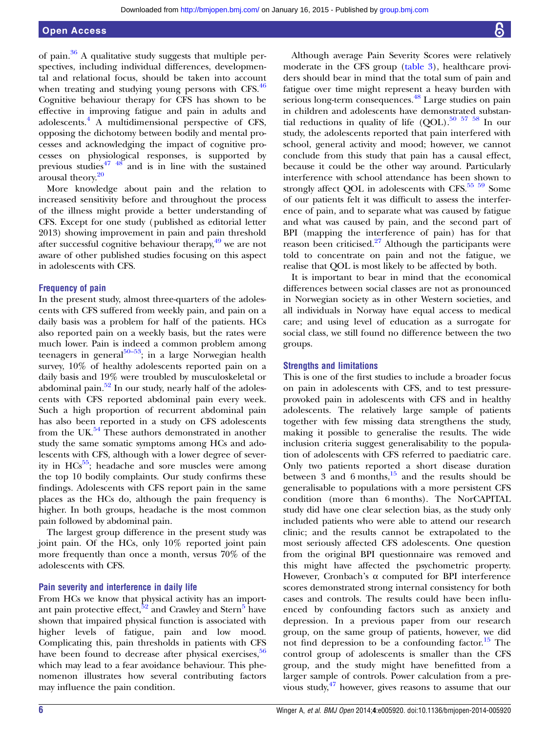of pain. $36$  A qualitative study suggests that multiple perspectives, including individual differences, developmental and relational focus, should be taken into account when treating and studying young persons with CFS.<sup>[46](#page-7-0)</sup> Cognitive behaviour therapy for CFS has shown to be effective in improving fatigue and pain in adults and adolescents.[4](#page-6-0) A multidimensional perspective of CFS, opposing the dichotomy between bodily and mental processes and acknowledging the impact of cognitive processes on physiological responses, is supported by previous studies $47 \frac{48}{9}$  and is in line with the sustained arousal theory[.20](#page-6-0)

More knowledge about pain and the relation to increased sensitivity before and throughout the process of the illness might provide a better understanding of CFS. Except for one study (published as editorial letter 2013) showing improvement in pain and pain threshold after successful cognitive behaviour therapy,<sup>49</sup> we are not aware of other published studies focusing on this aspect in adolescents with CFS.

#### Frequency of pain

In the present study, almost three-quarters of the adolescents with CFS suffered from weekly pain, and pain on a daily basis was a problem for half of the patients. HCs also reported pain on a weekly basis, but the rates were much lower. Pain is indeed a common problem among teenagers in general<sup>50–53</sup>; in a large Norwegian health survey, 10% of healthy adolescents reported pain on a daily basis and 19% were troubled by musculoskeletal or abdominal pain.<sup>[52](#page-7-0)</sup> In our study, nearly half of the adolescents with CFS reported abdominal pain every week. Such a high proportion of recurrent abdominal pain has also been reported in a study on CFS adolescents from the UK. $54$  These authors demonstrated in another study the same somatic symptoms among HCs and adolescents with CFS, although with a lower degree of severity in  $HCs^{55}$ ; headache and sore muscles were among the top 10 bodily complaints. Our study confirms these findings. Adolescents with CFS report pain in the same places as the HCs do, although the pain frequency is higher. In both groups, headache is the most common pain followed by abdominal pain.

The largest group difference in the present study was joint pain. Of the HCs, only 10% reported joint pain more frequently than once a month, versus 70% of the adolescents with CFS.

#### Pain severity and interference in daily life

From HCs we know that physical activity has an important pain protective effect,  $\frac{52}{3}$  $\frac{52}{3}$  $\frac{52}{3}$  and Crawley and Stern<sup>[5](#page-6-0)</sup> have shown that impaired physical function is associated with higher levels of fatigue, pain and low mood. Complicating this, pain thresholds in patients with CFS have been found to decrease after physical exercises,<sup>[56](#page-7-0)</sup> which may lead to a fear avoidance behaviour. This phenomenon illustrates how several contributing factors may influence the pain condition.

Although average Pain Severity Scores were relatively moderate in the CFS group [\(table 3\)](#page-3-0), healthcare providers should bear in mind that the total sum of pain and fatigue over time might represent a heavy burden with serious long-term consequences.<sup>[48](#page-7-0)</sup> Large studies on pain in children and adolescents have demonstrated substantial reductions in quality of life  $(QOL)$ .<sup>[50 57 58](#page-7-0)</sup> In our study, the adolescents reported that pain interfered with school, general activity and mood; however, we cannot conclude from this study that pain has a causal effect, because it could be the other way around. Particularly interference with school attendance has been shown to strongly affect QOL in adolescents with CFS. $55$  59 Some of our patients felt it was difficult to assess the interference of pain, and to separate what was caused by fatigue and what was caused by pain, and the second part of BPI (mapping the interference of pain) has for that reason been criticised.<sup>[27](#page-7-0)</sup> Although the participants were told to concentrate on pain and not the fatigue, we realise that QOL is most likely to be affected by both.

It is important to bear in mind that the economical differences between social classes are not as pronounced in Norwegian society as in other Western societies, and all individuals in Norway have equal access to medical care; and using level of education as a surrogate for social class, we still found no difference between the two groups.

#### Strengths and limitations

This is one of the first studies to include a broader focus on pain in adolescents with CFS, and to test pressureprovoked pain in adolescents with CFS and in healthy adolescents. The relatively large sample of patients together with few missing data strengthens the study, making it possible to generalise the results. The wide inclusion criteria suggest generalisability to the population of adolescents with CFS referred to paediatric care. Only two patients reported a short disease duration between  $3$  and  $6$  months,<sup>15</sup> and the results should be generalisable to populations with a more persistent CFS condition (more than 6 months). The NorCAPITAL study did have one clear selection bias, as the study only included patients who were able to attend our research clinic; and the results cannot be extrapolated to the most seriously affected CFS adolescents. One question from the original BPI questionnaire was removed and this might have affected the psychometric property. However, Cronbach's α computed for BPI interference scores demonstrated strong internal consistency for both cases and controls. The results could have been influenced by confounding factors such as anxiety and depression. In a previous paper from our research group, on the same group of patients, however, we did not find depression to be a confounding factor.<sup>[15](#page-6-0)</sup> The control group of adolescents is smaller than the CFS group, and the study might have benefitted from a larger sample of controls. Power calculation from a previous study, $47$  however, gives reasons to assume that our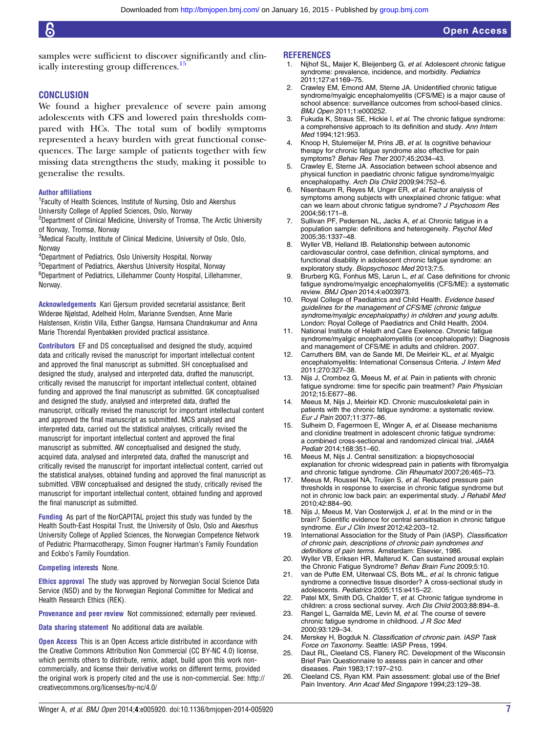<span id="page-6-0"></span>samples were sufficient to discover significantly and clinically interesting group differences.<sup>15</sup>

#### **CONCLUSION**

We found a higher prevalence of severe pain among adolescents with CFS and lowered pain thresholds compared with HCs. The total sum of bodily symptoms represented a heavy burden with great functional consequences. The large sample of patients together with few missing data strengthens the study, making it possible to generalise the results.

#### Author affiliations

<sup>1</sup> Faculty of Health Sciences, Institute of Nursing, Oslo and Akershus University College of Applied Sciences, Oslo, Norway

2 Department of Clinical Medicine, University of Tromsø, The Arctic University of Norway, Tromsø, Norway

 ${}^{3}$ Medical Faculty, Institute of Clinical Medicine, University of Oslo, Oslo, **Norway** 

4 Department of Pediatrics, Oslo University Hospital, Norway

5 Department of Pediatrics, Akershus University Hospital, Norway

6 Department of Pediatrics, Lillehammer County Hospital, Lillehammer, Norway.

Acknowledgements Kari Gjersum provided secretarial assistance; Berit Widerøe Njølstad, Adelheid Holm, Marianne Svendsen, Anne Marie Halstensen, Kristin Villa, Esther Gangsø, Hamsana Chandrakumar and Anna Marie Thorendal Ryenbakken provided practical assistance.

Contributors EF and DS conceptualised and designed the study, acquired data and critically revised the manuscript for important intellectual content and approved the final manuscript as submitted. SH conceptualised and designed the study, analysed and interpreted data, drafted the manuscript, critically revised the manuscript for important intellectual content, obtained funding and approved the final manuscript as submitted. GK conceptualised and designed the study, analysed and interpreted data, drafted the manuscript, critically revised the manuscript for important intellectual content and approved the final manuscript as submitted. MCS analysed and interpreted data, carried out the statistical analyses, critically revised the manuscript for important intellectual content and approved the final manuscript as submitted. AW conceptualised and designed the study, acquired data, analysed and interpreted data, drafted the manuscript and critically revised the manuscript for important intellectual content, carried out the statistical analyses, obtained funding and approved the final manuscript as submitted. VBW conceptualised and designed the study, critically revised the manuscript for important intellectual content, obtained funding and approved the final manuscript as submitted.

Funding As part of the NorCAPITAL project this study was funded by the Health South-East Hospital Trust, the University of Oslo, Oslo and Akesrhus University College of Applied Sciences, the Norwegian Competence Network of Pediatric Pharmacotherapy, Simon Fougner Hartman's Family Foundation and Eckbo's Family Foundation.

#### Competing interests None.

Ethics approval The study was approved by Norwegian Social Science Data Service (NSD) and by the Norwegian Regional Committee for Medical and Health Research Ethics (REK).

Provenance and peer review Not commissioned; externally peer reviewed.

Data sharing statement No additional data are available.

**Open Access** This is an Open Access article distributed in accordance with the Creative Commons Attribution Non Commercial (CC BY-NC 4.0) license, which permits others to distribute, remix, adapt, build upon this work noncommercially, and license their derivative works on different terms, provided the original work is properly cited and the use is non-commercial. See: [http://](http://creativecommons.org/licenses/by-nc/4.0/) [creativecommons.org/licenses/by-nc/4.0/](http://creativecommons.org/licenses/by-nc/4.0/)

#### **REFERENCES**

- 1. Nijhof SL, Maijer K, Bleijenberg G, et al. Adolescent chronic fatigue syndrome: prevalence, incidence, and morbidity. Pediatrics 2011;127:e1169–75.
- 2. Crawley EM, Emond AM, Sterne JA. Unidentified chronic fatigue syndrome/myalgic encephalomyelitis (CFS/ME) is a major cause of school absence: surveillance outcomes from school-based clinics. BMJ Open 2011;1:e000252.
- 3. Fukuda K, Straus SE, Hickie I, et al. The chronic fatigue syndrome: a comprehensive approach to its definition and study. Ann Intern Med 1994;121:953.
- 4. Knoop H, Stulemeijer M, Prins JB, et al. Is cognitive behaviour therapy for chronic fatigue syndrome also effective for pain symptoms? Behav Res Ther 2007;45:2034–43.
- 5. Crawley E, Sterne JA. Association between school absence and physical function in paediatric chronic fatigue syndrome/myalgic encephalopathy. Arch Dis Child 2009;94:752–6.
- Nisenbaum R, Reyes M, Unger ER, et al. Factor analysis of symptoms among subjects with unexplained chronic fatigue: what can we learn about chronic fatigue syndrome? J Psychosom Res 2004;56:171–8.
- 7. Sullivan PF, Pedersen NL, Jacks A, et al. Chronic fatigue in a population sample: definitions and heterogeneity. Psychol Med 2005;35:1337–48.
- 8. Wyller VB, Helland IB. Relationship between autonomic cardiovascular control, case definition, clinical symptoms, and functional disability in adolescent chronic fatigue syndrome: an exploratory study. Biopsychosoc Med 2013;7:5.
- 9. Brurberg KG, Fonhus MS, Larun L, et al. Case definitions for chronic fatigue syndrome/myalgic encephalomyelitis (CFS/ME): a systematic review. BMJ Open 2014;4:e003973.
- 10. Royal College of Paediatrics and Child Health. Evidence based guidelines for the management of CFS/ME (chronic fatigue syndrome/myalgic encephalopathy) in children and young adults. London: Royal College of Paediatrics and Child Health, 2004.
- 11. National Institute of Helath and Care Exelence. Chronic fatigue syndrome/myalgic encephalomyelitis (or encephalopathy): Diagnosis and management of CFS/ME in adults and children. 2007.
- 12. Carruthers BM, van de Sande MI, De Meirleir KL, et al. Myalgic encephalomyelitis: International Consensus Criteria. J Intern Med 2011;270:327–38.
- Nijs J, Crombez G, Meeus M, et al. Pain in patients with chronic fatigue syndrome: time for specific pain treatment? Pain Physician 2012;15:E677–86.
- 14. Meeus M, Nijs J, Meirleir KD. Chronic musculoskeletal pain in patients with the chronic fatigue syndrome: a systematic review. Eur J Pain 2007;11:377–86.
- 15. Sulheim D, Fagermoen E, Winger A, et al. Disease mechanisms and clonidine treatment in adolescent chronic fatigue syndrome: a combined cross-sectional and randomized clinical trial. JAMA Pediatr 2014;168:351–60.
- 16. Meeus M, Nijs J. Central sensitization: a biopsychosocial explanation for chronic widespread pain in patients with fibromyalgia and chronic fatigue syndrome. Clin Rheumatol 2007;26:465–73.
- 17. Meeus M, Roussel NA, Truijen S, et al. Reduced pressure pain thresholds in response to exercise in chronic fatigue syndrome but not in chronic low back pain: an experimental study. J Rehabil Med 2010;42:884–90.
- 18. Nijs J, Meeus M, Van Oosterwijck J, et al. In the mind or in the brain? Scientific evidence for central sensitisation in chronic fatigue syndrome. Eur J Clin Invest 2012;42:203-12.
- 19. International Association for the Study of Pain (IASP). Classification of chronic pain, descriptions of chronic pain syndromes and definitions of pain terms. Amsterdam: Elsevier, 1986.
- 20. Wyller VB, Eriksen HR, Malterud K. Can sustained arousal explain the Chronic Fatigue Syndrome? Behav Brain Func 2009;5:10.
- 21. van de Putte EM, Uiterwaal CS, Bots ML, et al. Is chronic fatique syndrome a connective tissue disorder? A cross-sectional study in adolescents. Pediatrics 2005;115:e415–22.
- 22. Patel MX, Smith DG, Chalder T, et al. Chronic fatigue syndrome in children: a cross sectional survey. Arch Dis Child 2003;88:894–8.
- 23. Rangel L, Garralda ME, Levin M, et al. The course of severe chronic fatigue syndrome in childhood. J R Soc Med 2000;93:129–34.
- 24. Merskey H, Bogduk N. Classification of chronic pain. IASP Task Force on Taxonomy. Seattle: IASP Press, 1994.
- 25. Daut RL, Cleeland CS, Flanery RC. Development of the Wisconsin Brief Pain Questionnaire to assess pain in cancer and other diseases. Pain 1983;17:197–210.
- 26. Cleeland CS, Ryan KM. Pain assessment: global use of the Brief Pain Inventory. Ann Acad Med Singapore 1994;23:129–38.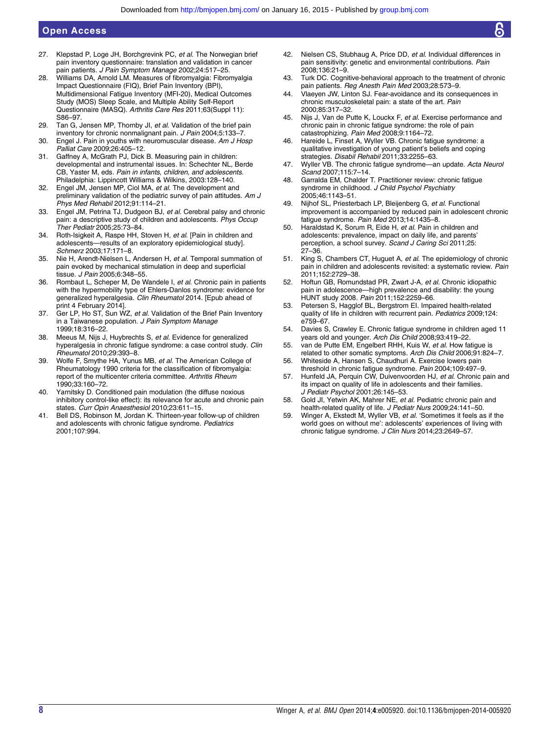# <span id="page-7-0"></span>Open Access

- 27. Klepstad P, Loge JH, Borchgrevink PC, et al. The Norwegian brief pain inventory questionnaire: translation and validation in cancer pain patients. J Pain Symptom Manage 2002;24:517-25.
- 28. Williams DA, Arnold LM. Measures of fibromyalgia: Fibromyalgia Impact Questionnaire (FIQ), Brief Pain Inventory (BPI), Multidimensional Fatigue Inventory (MFI-20), Medical Outcomes Study (MOS) Sleep Scale, and Multiple Ability Self-Report Questionnaire (MASQ). Arthritis Care Res 2011;63(Suppl 11): S86–97.
- 29. Tan G. Jensen MP. Thornby JI, et al. Validation of the brief pain inventory for chronic nonmalignant pain. J Pain 2004;5:133–7.
- 30. Engel J. Pain in youths with neuromuscular disease. Am J Hosp Palliat Care 2009;26:405–12.
- 31. Gaffney A, McGrath PJ, Dick B. Measuring pain in children: developmental and instrumental issues. In: Schechter NL, Berde CB, Yaster M, eds. Pain in infants, children, and adolescents. Philadelphia: Lippincott Williams & Wilkins, 2003:128–140.
- 32. Engel JM, Jensen MP, Ciol MA, et al. The development and preliminary validation of the pediatric survey of pain attitudes. Am J Phys Med Rehabil 2012;91:114–21.
- 33. Engel JM, Petrina TJ, Dudgeon BJ, et al. Cerebral palsy and chronic pain: a descriptive study of children and adolescents. Phys Occup Ther Pediatr 2005;25:73–84.
- 34. Roth-Isigkeit A, Raspe HH, Stoven H, et al. [Pain in children and adolescents—results of an exploratory epidemiological study]. Schmerz 2003;17:171–8.
- 35. Nie H, Arendt-Nielsen L, Andersen H, et al. Temporal summation of pain evoked by mechanical stimulation in deep and superficial tissue. J Pain 2005;6:348–55.
- 36. Rombaut L, Scheper M, De Wandele I, et al. Chronic pain in patients with the hypermobility type of Ehlers-Danlos syndrome: evidence for generalized hyperalgesia. Clin Rheumatol 2014. [Epub ahead of print 4 February 2014].
- 37. Ger LP, Ho ST, Sun WZ, et al. Validation of the Brief Pain Inventory in a Taiwanese population. J Pain Symptom Manage 1999;18:316–22.
- 38. Meeus M, Nijs J, Huybrechts S, et al. Evidence for generalized hyperalgesia in chronic fatigue syndrome: a case control study. Clin Rheumatol 2010;29:393–8.
- 39. Wolfe F, Smythe HA, Yunus MB, et al. The American College of Rheumatology 1990 criteria for the classification of fibromyalgia: report of the multicenter criteria committee. Arthritis Rheum 1990;33:160–72.
- 40. Yarnitsky D. Conditioned pain modulation (the diffuse noxious inhibitory control-like effect): its relevance for acute and chronic pain states. Curr Opin Anaesthesiol 2010;23:611–15.
- 41. Bell DS, Robinson M, Jordan K. Thirteen-year follow-up of children and adolescents with chronic fatigue syndrome. Pediatrics 2001;107:994.
- 42. Nielsen CS, Stubhaug A, Price DD, et al. Individual differences in pain sensitivity: genetic and environmental contributions. Pain 2008;136:21–9.
- 43. Turk DC. Cognitive-behavioral approach to the treatment of chronic pain patients. Reg Anesth Pain Med 2003;28:573-9.
- 44. Vlaeyen JW, Linton SJ. Fear-avoidance and its consequences in chronic musculoskeletal pain: a state of the art. Pain 2000;85:317–32.
- 45. Nijs J, Van de Putte K, Louckx F, et al. Exercise performance and chronic pain in chronic fatigue syndrome: the role of pain catastrophizing. Pain Med 2008;9:1164–72.
- 46. Hareide L, Finset A, Wyller VB. Chronic fatigue syndrome: a qualitative investigation of young patient's beliefs and coping strategies. Disabil Rehabil 2011;33:2255-63.
- 47. Wyller VB. The chronic fatigue syndrome—an update. Acta Neurol Scand 2007;115:7–14.
- 48. Garralda EM, Chalder T. Practitioner review: chronic fatigue syndrome in childhood. J Child Psychol Psychiatry 2005;46:1143–51.
- 49. Nijhof SL, Priesterbach LP, Bleijenberg G, et al. Functional improvement is accompanied by reduced pain in adolescent chronic fatigue syndrome. Pain Med 2013;14:1435–8.
- 50. Haraldstad K, Sorum R, Eide H, et al. Pain in children and adolescents: prevalence, impact on daily life, and parents' perception, a school survey. Scand J Caring Sci 2011;25: 27–36.
- 51. King S, Chambers CT, Huguet A, et al. The epidemiology of chronic pain in children and adolescents revisited: a systematic review. Pain 2011;152:2729–38.
- 52. Hoftun GB, Romundstad PR, Zwart J-A, et al. Chronic idiopathic pain in adolescence—high prevalence and disability: the young HUNT study 2008. Pain 2011;152:2259–66.
- 53. Petersen S, Hagglof BL, Bergstrom EI. Impaired health-related quality of life in children with recurrent pain. Pediatrics 2009;124: e759–67.
- 54. Davies S, Crawley E. Chronic fatigue syndrome in children aged 11 years old and younger. Arch Dis Child 2008;93:419–22.
- 55. van de Putte EM, Engelbert RHH, Kuis W, et al. How fatigue is related to other somatic symptoms. Arch Dis Child 2006;91:824-7.
- 56. Whiteside A, Hansen S, Chaudhuri A. Exercise lowers pain threshold in chronic fatigue syndrome. Pain 2004;109:497–9.
- 57. Hunfeld JA, Perquin CW, Duivenvoorden HJ, et al. Chronic pain and its impact on quality of life in adolescents and their families. J Pediatr Psychol 2001;26:145–53.
- 58. Gold Jl, Yetwin AK, Mahrer NE, et al. Pediatric chronic pain and health-related quality of life. J Pediatr Nurs 2009;24:141-50.
- 59. Winger A, Ekstedt M, Wyller VB, et al. 'Sometimes it feels as if the world goes on without me': adolescents' experiences of living with chronic fatigue syndrome. J Clin Nurs 2014;23:2649-57.